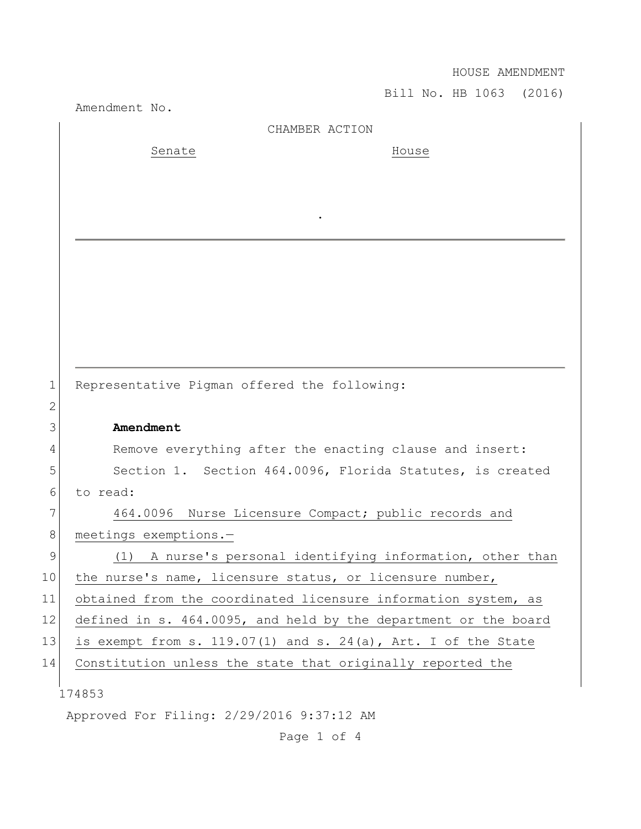HOUSE AMENDMENT

Bill No. HB 1063 (2016)

|              | Amendment No.                                                   |
|--------------|-----------------------------------------------------------------|
|              | CHAMBER ACTION                                                  |
|              | Senate<br>House                                                 |
|              |                                                                 |
|              |                                                                 |
|              |                                                                 |
|              |                                                                 |
|              |                                                                 |
|              |                                                                 |
|              |                                                                 |
|              |                                                                 |
|              |                                                                 |
|              |                                                                 |
| $\mathbf 1$  | Representative Pigman offered the following:                    |
| $\mathbf{2}$ |                                                                 |
| 3            | Amendment                                                       |
| 4            | Remove everything after the enacting clause and insert:         |
| 5            | Section 1. Section 464.0096, Florida Statutes, is created       |
| 6            | to read:                                                        |
| 7            | 464.0096 Nurse Licensure Compact; public records and            |
| 8            | meetings exemptions.-                                           |
| 9            | A nurse's personal identifying information, other than<br>(1)   |
| 10           | the nurse's name, licensure status, or licensure number,        |
| 11           | obtained from the coordinated licensure information system, as  |
| 12           | defined in s. 464.0095, and held by the department or the board |
| 13           | is exempt from s. 119.07(1) and s. 24(a), Art. I of the State   |
| 14           | Constitution unless the state that originally reported the      |
|              |                                                                 |
|              | 174853                                                          |
|              | Approved For Filing: 2/29/2016 9:37:12 AM                       |

Page 1 of 4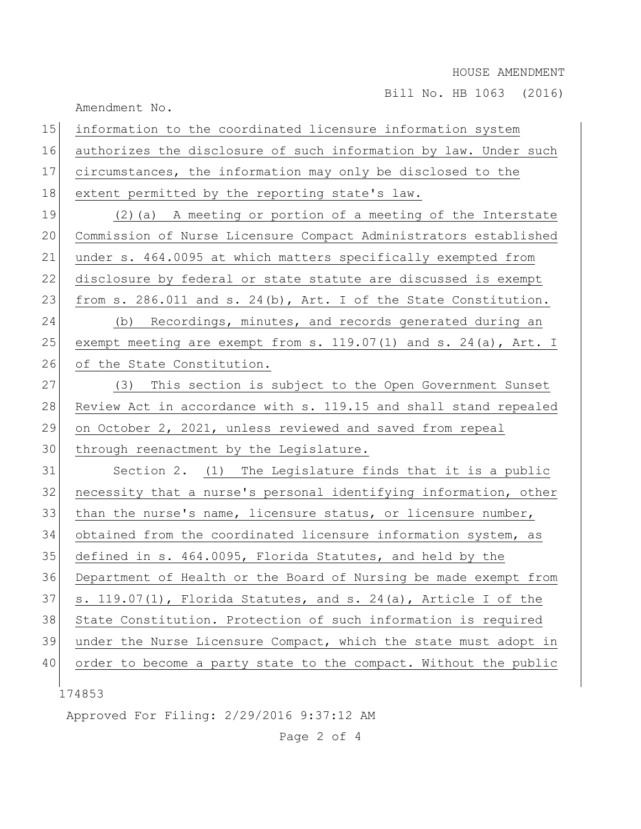Bill No. HB 1063 (2016)

|    | Amendment No.                                                    |
|----|------------------------------------------------------------------|
| 15 | information to the coordinated licensure information system      |
| 16 | authorizes the disclosure of such information by law. Under such |
| 17 | circumstances, the information may only be disclosed to the      |
| 18 | extent permitted by the reporting state's law.                   |
| 19 | $(2)$ (a) A meeting or portion of a meeting of the Interstate    |
| 20 | Commission of Nurse Licensure Compact Administrators established |
| 21 | under s. 464.0095 at which matters specifically exempted from    |
| 22 | disclosure by federal or state statute are discussed is exempt   |
| 23 | from s. 286.011 and s. 24(b), Art. I of the State Constitution.  |
| 24 | (b) Recordings, minutes, and records generated during an         |
| 25 | exempt meeting are exempt from s. 119.07(1) and s. 24(a), Art. I |
| 26 | of the State Constitution.                                       |
| 27 | (3) This section is subject to the Open Government Sunset        |
| 28 | Review Act in accordance with s. 119.15 and shall stand repealed |
| 29 | on October 2, 2021, unless reviewed and saved from repeal        |
| 30 | through reenactment by the Legislature.                          |
| 31 | Section 2. (1) The Legislature finds that it is a public         |
| 32 | necessity that a nurse's personal identifying information, other |
| 33 | than the nurse's name, licensure status, or licensure number,    |
| 34 | obtained from the coordinated licensure information system, as   |
| 35 | defined in s. 464.0095, Florida Statutes, and held by the        |
| 36 | Department of Health or the Board of Nursing be made exempt from |
| 37 | s. 119.07(1), Florida Statutes, and s. 24(a), Article I of the   |
| 38 | State Constitution. Protection of such information is required   |
| 39 | under the Nurse Licensure Compact, which the state must adopt in |
| 40 | order to become a party state to the compact. Without the public |
|    | 174853                                                           |
|    |                                                                  |

Approved For Filing: 2/29/2016 9:37:12 AM

Page 2 of 4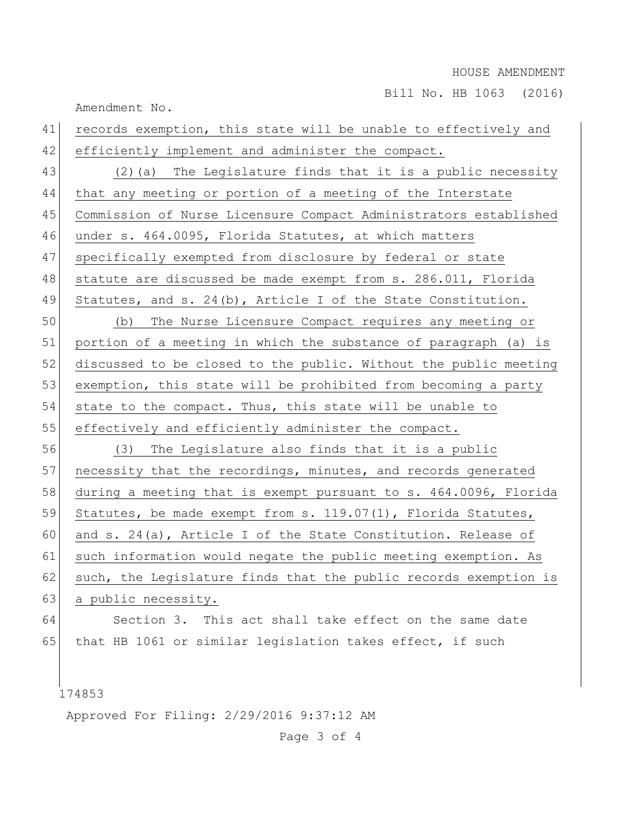## HOUSE AMENDMENT

Bill No. HB 1063 (2016)

Amendment No.

| 41 | records exemption, this state will be unable to effectively and  |
|----|------------------------------------------------------------------|
| 42 | efficiently implement and administer the compact.                |
| 43 | (2) (a) The Legislature finds that it is a public necessity      |
| 44 | that any meeting or portion of a meeting of the Interstate       |
| 45 | Commission of Nurse Licensure Compact Administrators established |
| 46 | under s. 464.0095, Florida Statutes, at which matters            |
| 47 | specifically exempted from disclosure by federal or state        |
| 48 | statute are discussed be made exempt from s. 286.011, Florida    |
| 49 | Statutes, and s. $24(b)$ , Article I of the State Constitution.  |
| 50 | The Nurse Licensure Compact requires any meeting or<br>(b)       |
| 51 | portion of a meeting in which the substance of paragraph (a) is  |
| 52 | discussed to be closed to the public. Without the public meeting |
| 53 | exemption, this state will be prohibited from becoming a party   |
| 54 | state to the compact. Thus, this state will be unable to         |
| 55 | effectively and efficiently administer the compact.              |
| 56 | (3) The Legislature also finds that it is a public               |
| 57 | necessity that the recordings, minutes, and records generated    |
| 58 | during a meeting that is exempt pursuant to s. 464.0096, Florida |
| 59 | Statutes, be made exempt from s. 119.07(1), Florida Statutes,    |
| 60 | and s. 24(a), Article I of the State Constitution. Release of    |
| 61 | such information would negate the public meeting exemption. As   |
| 62 | such, the Legislature finds that the public records exemption is |
| 63 | a public necessity.                                              |
| 64 | Section 3. This act shall take effect on the same date           |
| 65 | that HB 1061 or similar legislation takes effect, if such        |
|    |                                                                  |

174853

Approved For Filing: 2/29/2016 9:37:12 AM

Page 3 of 4